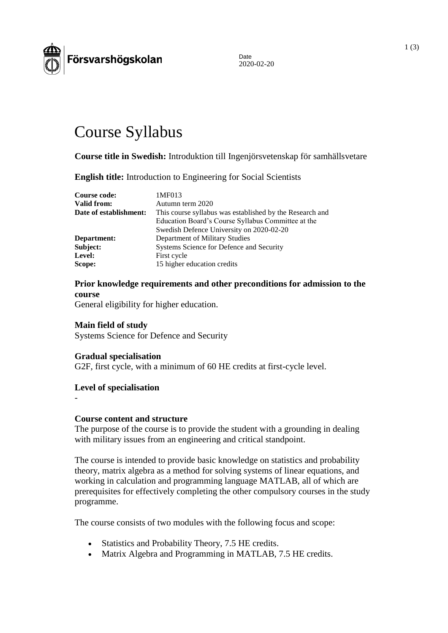

Date 2020-02-20

# Course Syllabus

**Course title in Swedish:** Introduktion till Ingenjörsvetenskap för samhällsvetare

**English title:** Introduction to Engineering for Social Scientists

| Course code:           | 1MF013                                                   |
|------------------------|----------------------------------------------------------|
| Valid from:            | Autumn term 2020                                         |
| Date of establishment: | This course syllabus was established by the Research and |
|                        | Education Board's Course Syllabus Committee at the       |
|                        | Swedish Defence University on 2020-02-20                 |
| Department:            | Department of Military Studies                           |
| Subject:               | Systems Science for Defence and Security                 |
| Level:                 | First cycle                                              |
| Scope:                 | 15 higher education credits                              |

# **Prior knowledge requirements and other preconditions for admission to the course**

General eligibility for higher education.

#### **Main field of study**

Systems Science for Defence and Security

#### **Gradual specialisation**

G2F, first cycle, with a minimum of 60 HE credits at first-cycle level.

#### **Level of specialisation**

-

#### **Course content and structure**

The purpose of the course is to provide the student with a grounding in dealing with military issues from an engineering and critical standpoint.

The course is intended to provide basic knowledge on statistics and probability theory, matrix algebra as a method for solving systems of linear equations, and working in calculation and programming language MATLAB, all of which are prerequisites for effectively completing the other compulsory courses in the study programme.

The course consists of two modules with the following focus and scope:

- Statistics and Probability Theory, 7.5 HE credits.
- Matrix Algebra and Programming in MATLAB, 7.5 HE credits.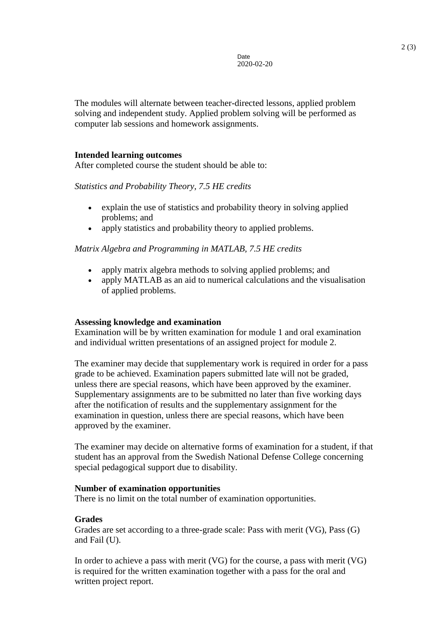The modules will alternate between teacher-directed lessons, applied problem solving and independent study. Applied problem solving will be performed as computer lab sessions and homework assignments.

#### **Intended learning outcomes**

After completed course the student should be able to:

*Statistics and Probability Theory, 7.5 HE credits*

- explain the use of statistics and probability theory in solving applied problems; and
- apply statistics and probability theory to applied problems.

*Matrix Algebra and Programming in MATLAB, 7.5 HE credits*

- apply matrix algebra methods to solving applied problems; and
- apply MATLAB as an aid to numerical calculations and the visualisation of applied problems.

## **Assessing knowledge and examination**

Examination will be by written examination for module 1 and oral examination and individual written presentations of an assigned project for module 2.

The examiner may decide that supplementary work is required in order for a pass grade to be achieved. Examination papers submitted late will not be graded, unless there are special reasons, which have been approved by the examiner. Supplementary assignments are to be submitted no later than five working days after the notification of results and the supplementary assignment for the examination in question, unless there are special reasons, which have been approved by the examiner.

The examiner may decide on alternative forms of examination for a student, if that student has an approval from the Swedish National Defense College concerning special pedagogical support due to disability.

#### **Number of examination opportunities**

There is no limit on the total number of examination opportunities.

## **Grades**

Grades are set according to a three-grade scale: Pass with merit (VG), Pass (G) and Fail (U).

In order to achieve a pass with merit (VG) for the course, a pass with merit (VG) is required for the written examination together with a pass for the oral and written project report.